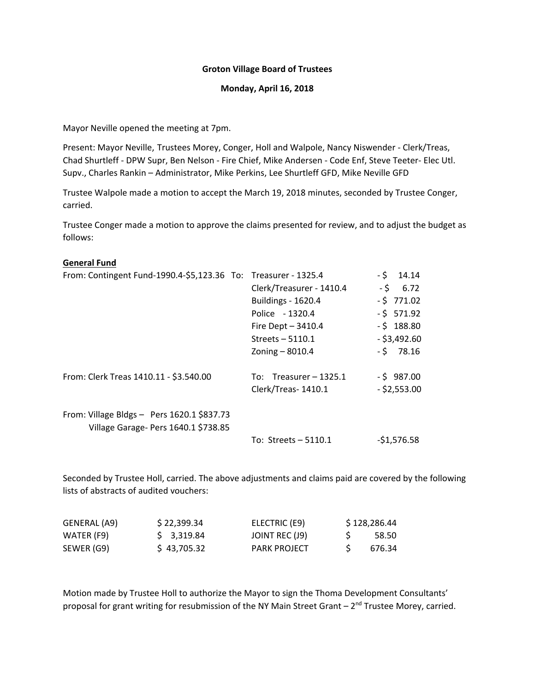#### **Groton Village Board of Trustees**

#### **Monday, April 16, 2018**

Mayor Neville opened the meeting at 7pm.

Present: Mayor Neville, Trustees Morey, Conger, Holl and Walpole, Nancy Niswender ‐ Clerk/Treas, Chad Shurtleff ‐ DPW Supr, Ben Nelson ‐ Fire Chief, Mike Andersen ‐ Code Enf, Steve Teeter‐ Elec Utl. Supv., Charles Rankin – Administrator, Mike Perkins, Lee Shurtleff GFD, Mike Neville GFD

Trustee Walpole made a motion to accept the March 19, 2018 minutes, seconded by Trustee Conger, carried.

Trustee Conger made a motion to approve the claims presented for review, and to adjust the budget as follows:

#### **General Fund**

| From: Contingent Fund-1990.4-\$5,123.36 To: Treasurer - 1325.4                     |                           | $-5$ 14.14     |
|------------------------------------------------------------------------------------|---------------------------|----------------|
|                                                                                    | Clerk/Treasurer - 1410.4  | $-5$ 6.72      |
|                                                                                    | <b>Buildings - 1620.4</b> | $-5$ 771.02    |
|                                                                                    | Police - 1320.4           | $-5$ 571.92    |
|                                                                                    | Fire Dept $-3410.4$       | $-5$ 188.80    |
|                                                                                    | Streets $-5110.1$         | $-$ \$3,492.60 |
|                                                                                    | Zoning $-8010.4$          | $-5$ 78.16     |
| From: Clerk Treas 1410.11 - \$3.540.00                                             | To: Treasurer $-1325.1$   | $-5$ 987.00    |
|                                                                                    | Clerk/Treas-1410.1        | $-$ \$2,553.00 |
| From: Village Bldgs - Pers 1620.1 \$837.73<br>Village Garage- Pers 1640.1 \$738.85 |                           |                |
|                                                                                    | To: Streets $-5110.1$     | $-51,576.58$   |

Seconded by Trustee Holl, carried. The above adjustments and claims paid are covered by the following lists of abstracts of audited vouchers:

| GENERAL (A9) | \$22,399.34 | ELECTRIC (E9)       | \$128,286.44 |
|--------------|-------------|---------------------|--------------|
| WATER (F9)   | \$ 3,319.84 | JOINT REC (J9)      | 58.50        |
| SEWER (G9)   | \$43,705.32 | <b>PARK PROJECT</b> | 676.34       |

Motion made by Trustee Holl to authorize the Mayor to sign the Thoma Development Consultants' proposal for grant writing for resubmission of the NY Main Street Grant  $-2^{nd}$  Trustee Morey, carried.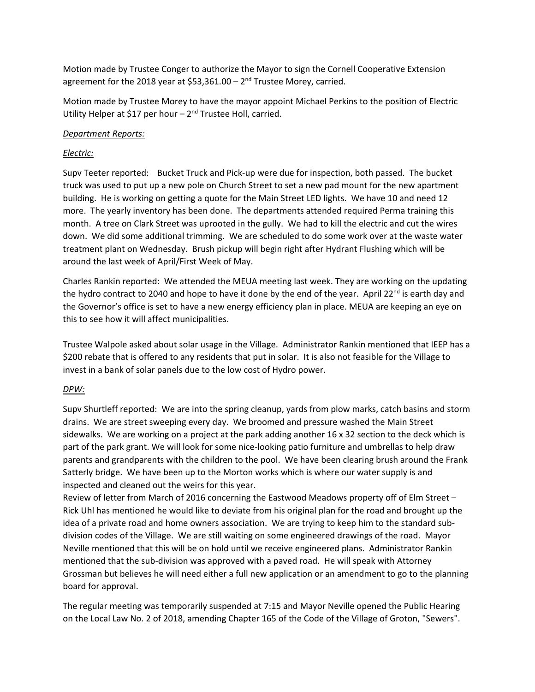Motion made by Trustee Conger to authorize the Mayor to sign the Cornell Cooperative Extension agreement for the 2018 year at \$53,361.00 –  $2<sup>nd</sup>$  Trustee Morey, carried.

Motion made by Trustee Morey to have the mayor appoint Michael Perkins to the position of Electric Utility Helper at \$17 per hour  $-2<sup>nd</sup>$  Trustee Holl, carried.

### *Department Reports:*

# *Electric:*

Supv Teeter reported: Bucket Truck and Pick‐up were due for inspection, both passed. The bucket truck was used to put up a new pole on Church Street to set a new pad mount for the new apartment building. He is working on getting a quote for the Main Street LED lights. We have 10 and need 12 more. The yearly inventory has been done. The departments attended required Perma training this month. A tree on Clark Street was uprooted in the gully. We had to kill the electric and cut the wires down. We did some additional trimming. We are scheduled to do some work over at the waste water treatment plant on Wednesday. Brush pickup will begin right after Hydrant Flushing which will be around the last week of April/First Week of May.

Charles Rankin reported: We attended the MEUA meeting last week. They are working on the updating the hydro contract to 2040 and hope to have it done by the end of the year. April 22<sup>nd</sup> is earth day and the Governor's office is set to have a new energy efficiency plan in place. MEUA are keeping an eye on this to see how it will affect municipalities.

Trustee Walpole asked about solar usage in the Village. Administrator Rankin mentioned that IEEP has a \$200 rebate that is offered to any residents that put in solar. It is also not feasible for the Village to invest in a bank of solar panels due to the low cost of Hydro power.

# *DPW:*

Supv Shurtleff reported: We are into the spring cleanup, yards from plow marks, catch basins and storm drains. We are street sweeping every day. We broomed and pressure washed the Main Street sidewalks. We are working on a project at the park adding another 16 x 32 section to the deck which is part of the park grant. We will look for some nice-looking patio furniture and umbrellas to help draw parents and grandparents with the children to the pool. We have been clearing brush around the Frank Satterly bridge. We have been up to the Morton works which is where our water supply is and inspected and cleaned out the weirs for this year.

Review of letter from March of 2016 concerning the Eastwood Meadows property off of Elm Street – Rick Uhl has mentioned he would like to deviate from his original plan for the road and brought up the idea of a private road and home owners association. We are trying to keep him to the standard sub‐ division codes of the Village. We are still waiting on some engineered drawings of the road. Mayor Neville mentioned that this will be on hold until we receive engineered plans. Administrator Rankin mentioned that the sub-division was approved with a paved road. He will speak with Attorney Grossman but believes he will need either a full new application or an amendment to go to the planning board for approval.

The regular meeting was temporarily suspended at 7:15 and Mayor Neville opened the Public Hearing on the Local Law No. 2 of 2018, amending Chapter 165 of the Code of the Village of Groton, "Sewers".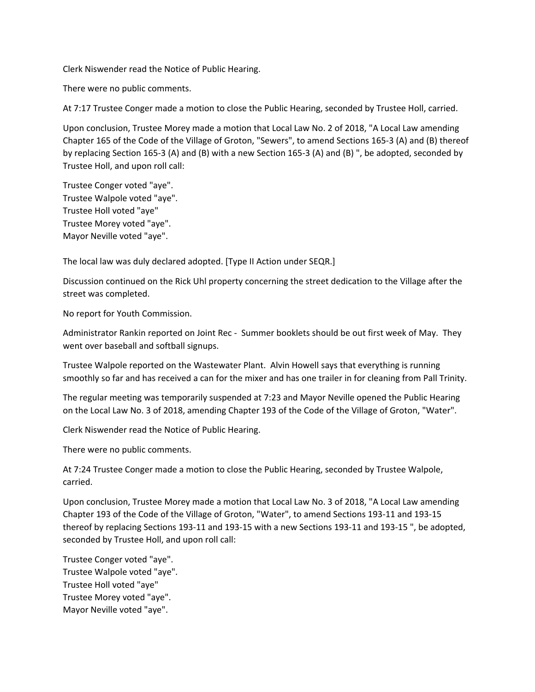Clerk Niswender read the Notice of Public Hearing.

There were no public comments.

At 7:17 Trustee Conger made a motion to close the Public Hearing, seconded by Trustee Holl, carried.

Upon conclusion, Trustee Morey made a motion that Local Law No. 2 of 2018, "A Local Law amending Chapter 165 of the Code of the Village of Groton, "Sewers", to amend Sections 165‐3 (A) and (B) thereof by replacing Section 165‐3 (A) and (B) with a new Section 165‐3 (A) and (B) ", be adopted, seconded by Trustee Holl, and upon roll call:

Trustee Conger voted "aye". Trustee Walpole voted "aye". Trustee Holl voted "aye" Trustee Morey voted "aye". Mayor Neville voted "aye".

The local law was duly declared adopted. [Type II Action under SEQR.]

Discussion continued on the Rick Uhl property concerning the street dedication to the Village after the street was completed.

No report for Youth Commission.

Administrator Rankin reported on Joint Rec ‐ Summer booklets should be out first week of May. They went over baseball and softball signups.

Trustee Walpole reported on the Wastewater Plant. Alvin Howell says that everything is running smoothly so far and has received a can for the mixer and has one trailer in for cleaning from Pall Trinity.

The regular meeting was temporarily suspended at 7:23 and Mayor Neville opened the Public Hearing on the Local Law No. 3 of 2018, amending Chapter 193 of the Code of the Village of Groton, "Water".

Clerk Niswender read the Notice of Public Hearing.

There were no public comments.

At 7:24 Trustee Conger made a motion to close the Public Hearing, seconded by Trustee Walpole, carried.

Upon conclusion, Trustee Morey made a motion that Local Law No. 3 of 2018, "A Local Law amending Chapter 193 of the Code of the Village of Groton, "Water", to amend Sections 193‐11 and 193‐15 thereof by replacing Sections 193‐11 and 193‐15 with a new Sections 193‐11 and 193‐15 ", be adopted, seconded by Trustee Holl, and upon roll call:

Trustee Conger voted "aye". Trustee Walpole voted "aye". Trustee Holl voted "aye" Trustee Morey voted "aye". Mayor Neville voted "aye".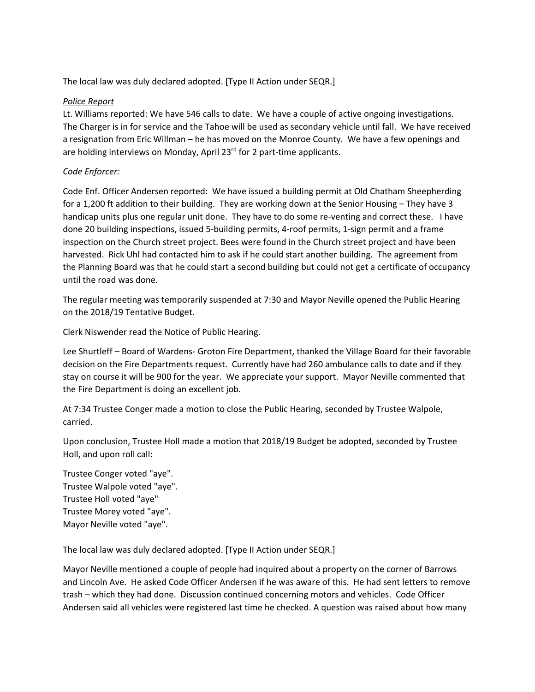The local law was duly declared adopted. [Type II Action under SEQR.]

### *Police Report*

Lt. Williams reported: We have 546 calls to date. We have a couple of active ongoing investigations. The Charger is in for service and the Tahoe will be used as secondary vehicle until fall. We have received a resignation from Eric Willman – he has moved on the Monroe County. We have a few openings and are holding interviews on Monday, April 23<sup>rd</sup> for 2 part-time applicants.

# *Code Enforcer:*

Code Enf. Officer Andersen reported: We have issued a building permit at Old Chatham Sheepherding for a 1,200 ft addition to their building. They are working down at the Senior Housing – They have 3 handicap units plus one regular unit done. They have to do some re-venting and correct these. I have done 20 building inspections, issued 5‐building permits, 4‐roof permits, 1‐sign permit and a frame inspection on the Church street project. Bees were found in the Church street project and have been harvested. Rick Uhl had contacted him to ask if he could start another building. The agreement from the Planning Board was that he could start a second building but could not get a certificate of occupancy until the road was done.

The regular meeting was temporarily suspended at 7:30 and Mayor Neville opened the Public Hearing on the 2018/19 Tentative Budget.

Clerk Niswender read the Notice of Public Hearing.

Lee Shurtleff – Board of Wardens‐ Groton Fire Department, thanked the Village Board for their favorable decision on the Fire Departments request. Currently have had 260 ambulance calls to date and if they stay on course it will be 900 for the year. We appreciate your support. Mayor Neville commented that the Fire Department is doing an excellent job.

At 7:34 Trustee Conger made a motion to close the Public Hearing, seconded by Trustee Walpole, carried.

Upon conclusion, Trustee Holl made a motion that 2018/19 Budget be adopted, seconded by Trustee Holl, and upon roll call:

Trustee Conger voted "aye". Trustee Walpole voted "aye". Trustee Holl voted "aye" Trustee Morey voted "aye". Mayor Neville voted "aye".

The local law was duly declared adopted. [Type II Action under SEQR.]

Mayor Neville mentioned a couple of people had inquired about a property on the corner of Barrows and Lincoln Ave. He asked Code Officer Andersen if he was aware of this. He had sent letters to remove trash – which they had done. Discussion continued concerning motors and vehicles. Code Officer Andersen said all vehicles were registered last time he checked. A question was raised about how many